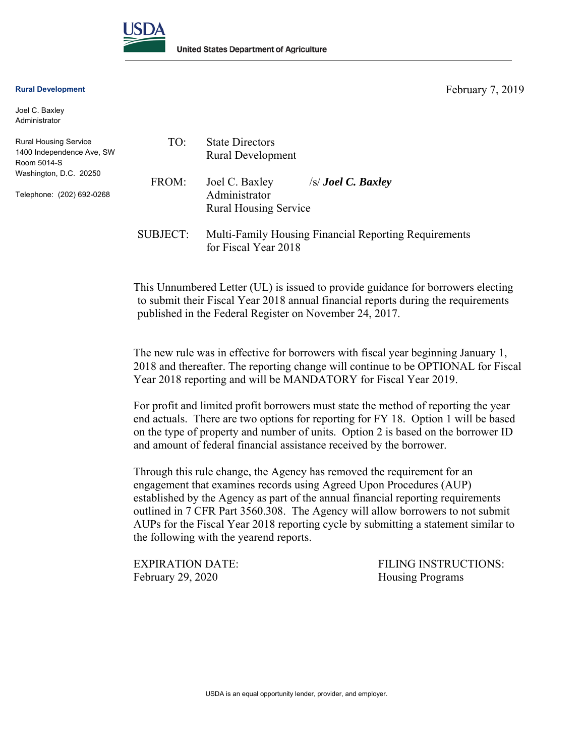

#### **Rural Development**

Joel C. Baxley Administrator

Rural Housing Service 1400 Independence Ave, SW Room 5014-S Washington, D.C. 20250

Telephone: (202) 692-0268

| TO:      | <b>State Directors</b><br><b>Rural Development</b>                                           |
|----------|----------------------------------------------------------------------------------------------|
| FROM:    | Joel C. Baxley<br>$\sqrt{s}$ Joel C. Baxley<br>Administrator<br><b>Rural Housing Service</b> |
| SUBJECT: | Multi-Family Housing Financial Reporting Requirements<br>for Fiscal Year 2018                |

This Unnumbered Letter (UL) is issued to provide guidance for borrowers electing to submit their Fiscal Year 2018 annual financial reports during the requirements published in the Federal Register on November 24, 2017.

 Year 2018 reporting and will be MANDATORY for Fiscal Year 2019. The new rule was in effective for borrowers with fiscal year beginning January 1, 2018 and thereafter. The reporting change will continue to be OPTIONAL for Fiscal

For profit and limited profit borrowers must state the method of reporting the year end actuals. There are two options for reporting for FY 18. Option 1 will be based on the type of property and number of units. Option 2 is based on the borrower ID and amount of federal financial assistance received by the borrower.

Through this rule change, the Agency has removed the requirement for an engagement that examines records using Agreed Upon Procedures (AUP) established by the Agency as part of the annual financial reporting requirements outlined in 7 CFR Part 3560.308. The Agency will allow borrowers to not submit AUPs for the Fiscal Year 2018 reporting cycle by submitting a statement similar to the following with the yearend reports.

**EXPIRATION DATE:** February 29, 2020 **Housing Programs** 

FILING INSTRUCTIONS:

February 7, 2019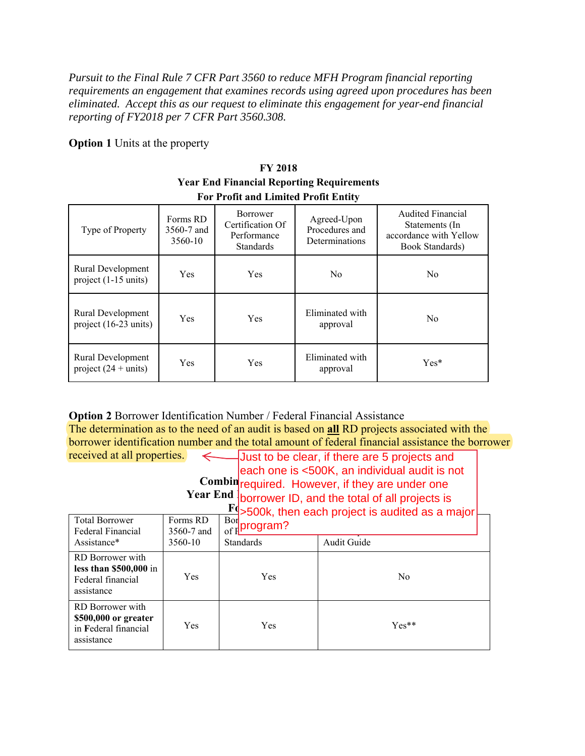*Pursuit to the Final Rule 7 CFR Part 3560 to reduce MFH Program financial reporting requirements an engagement that examines records using agreed upon procedures has been eliminated. Accept this as our request to eliminate this engagement for year-end financial reporting of FY2018 per 7 CFR Part 3560.308.* 

**Option 1** Units at the property

|                                                       |            | <b>For Profit and Limited Profit Entity</b>                     |                                                 |                                                                                         |
|-------------------------------------------------------|------------|-----------------------------------------------------------------|-------------------------------------------------|-----------------------------------------------------------------------------------------|
| Forms RD<br>3560-7 and<br>Type of Property<br>3560-10 |            | Borrower<br>Certification Of<br>Performance<br><b>Standards</b> | Agreed-Upon<br>Procedures and<br>Determinations | <b>Audited Financial</b><br>Statements (In<br>accordance with Yellow<br>Book Standards) |
| Rural Development<br>project $(1-15 \text{ units})$   | <b>Yes</b> | <b>Yes</b>                                                      | N <sub>0</sub>                                  | N <sub>0</sub>                                                                          |
| Rural Development<br>project $(16-23 \text{ units})$  | <b>Yes</b> | <b>Yes</b>                                                      | Eliminated with<br>approval                     | No.                                                                                     |
| Rural Development<br>project $(24 + \text{units})$    | Yes        | <b>Yes</b>                                                      | Eliminated with<br>approval                     | $Yes*$                                                                                  |

**FY 2018 Year End Financial Reporting Requirements** 

**Option 2** Borrower Identification Number / Federal Financial Assistance

The determination as to the need of an audit is based on **all** RD projects associated with the borrower identification number and the total amount of federal financial assistance the borrower received at all properties. Just to be clear, if there are 5 projects and

> Combin required. However, if they are under one Year End borrower ID, and the total of all projects is each one is <500K, an individual audit is not

 $\mathbf{F}$  $\mathbf{C}$  $\frac{F}{\text{Total Borrower}}$  Forms RD Boring and Poster and Boring and Project is audited as a major

| Total Borrower<br>Federal Financial                                                   | Forms RD<br>3560-7 and | $\int_{\text{off}}^{\infty}$ program? |                |  |  |  |
|---------------------------------------------------------------------------------------|------------------------|---------------------------------------|----------------|--|--|--|
| Assistance*                                                                           | 3560-10                | Standards                             | Audit Guide    |  |  |  |
| RD Borrower with<br>less than $$500,000$ in<br>Federal financial<br>assistance        | Yes                    | Yes                                   | N <sub>0</sub> |  |  |  |
| <b>RD</b> Borrower with<br>\$500,000 or greater<br>in Federal financial<br>assistance | Yes                    | Yes                                   | $Yes**$        |  |  |  |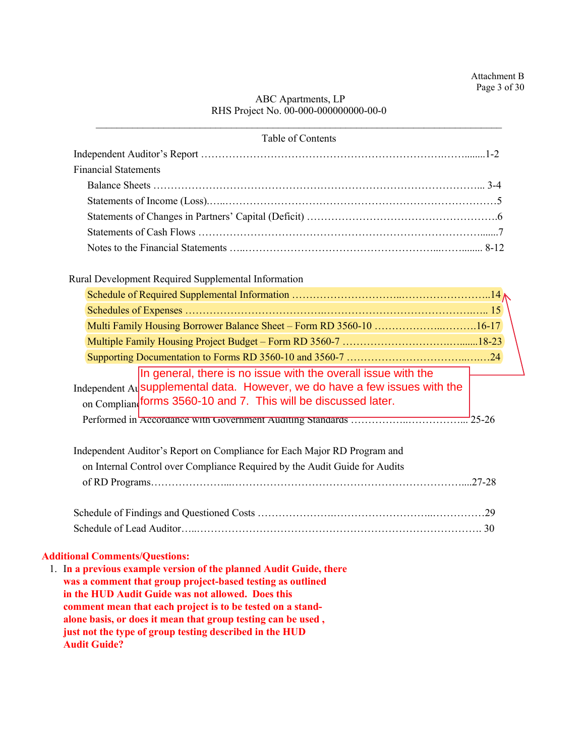### ABC Apartments, LP RHS Project No. 00-000-000000000-00-0

| Table of Contents                                                                                               |  |
|-----------------------------------------------------------------------------------------------------------------|--|
|                                                                                                                 |  |
| <b>Financial Statements</b>                                                                                     |  |
|                                                                                                                 |  |
|                                                                                                                 |  |
|                                                                                                                 |  |
|                                                                                                                 |  |
|                                                                                                                 |  |
| Rural Development Required Supplemental Information                                                             |  |
|                                                                                                                 |  |
|                                                                                                                 |  |
| Multi Family Housing Borrower Balance Sheet - Form RD 3560-10 16-17                                             |  |
|                                                                                                                 |  |
|                                                                                                                 |  |
| In general, there is no issue with the overall issue with the                                                   |  |
| Independent Ausupplemental data. However, we do have a few issues with the                                      |  |
| on Compliand forms 3560-10 and 7. This will be discussed later.                                                 |  |
|                                                                                                                 |  |
| Independent Auditor's Report on Compliance for Each Major RD Program and                                        |  |
| on Internal Control over Compliance Required by the Audit Guide for Audits                                      |  |
|                                                                                                                 |  |
|                                                                                                                 |  |
|                                                                                                                 |  |
| <b>Additional Comments/Questions:</b>                                                                           |  |
| 1. In a previous example version of the planned Audit Guide, there                                              |  |
| was a comment that group project-based testing as outlined<br>in the HUD Audit Guide was not allowed. Does this |  |
| comment mean that each project is to be tested on a stand-                                                      |  |
| $\mathbf{1}$ , and $\mathbf{1}$ , and a set of $\mathbf{1}$ , and a set of $\mathbf{1}$                         |  |

**alone basis, or does it mean that group testing can be used , just not the type of group testing described in the HUD** 

**Audit Guide?**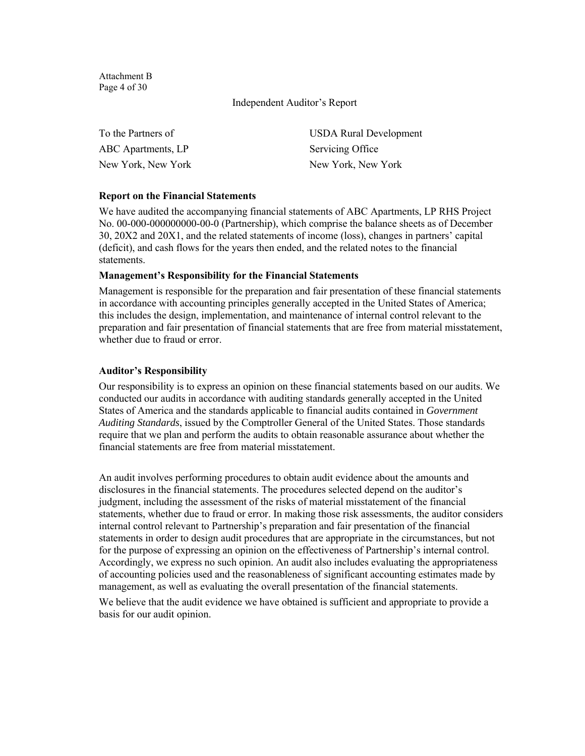Attachment B Page 4 of 30

Independent Auditor's Report

To the Partners of ABC Apartments, LP Servicing Office New York, New York USDA Rural Development New York, New York

### **Report on the Financial Statements**

We have audited the accompanying financial statements of ABC Apartments, LP RHS Project No. 00-000-000000000-00-0 (Partnership), which comprise the balance sheets as of December 30, 20X2 and 20X1, and the related statements of income (loss), changes in partners' capital (deficit), and cash flows for the years then ended, and the related notes to the financial statements.

### **Management's Responsibility for the Financial Statements**

Management is responsible for the preparation and fair presentation of these financial statements in accordance with accounting principles generally accepted in the United States of America; this includes the design, implementation, and maintenance of internal control relevant to the preparation and fair presentation of financial statements that are free from material misstatement, whether due to fraud or error.

### **Auditor's Responsibility**

Our responsibility is to express an opinion on these financial statements based on our audits. We conducted our audits in accordance with auditing standards generally accepted in the United States of America and the standards applicable to financial audits contained in *Government Auditing Standards*, issued by the Comptroller General of the United States. Those standards require that we plan and perform the audits to obtain reasonable assurance about whether the financial statements are free from material misstatement.

An audit involves performing procedures to obtain audit evidence about the amounts and disclosures in the financial statements. The procedures selected depend on the auditor's judgment, including the assessment of the risks of material misstatement of the financial statements, whether due to fraud or error. In making those risk assessments, the auditor considers internal control relevant to Partnership's preparation and fair presentation of the financial statements in order to design audit procedures that are appropriate in the circumstances, but not for the purpose of expressing an opinion on the effectiveness of Partnership's internal control. Accordingly, we express no such opinion. An audit also includes evaluating the appropriateness of accounting policies used and the reasonableness of significant accounting estimates made by management, as well as evaluating the overall presentation of the financial statements.

We believe that the audit evidence we have obtained is sufficient and appropriate to provide a basis for our audit opinion.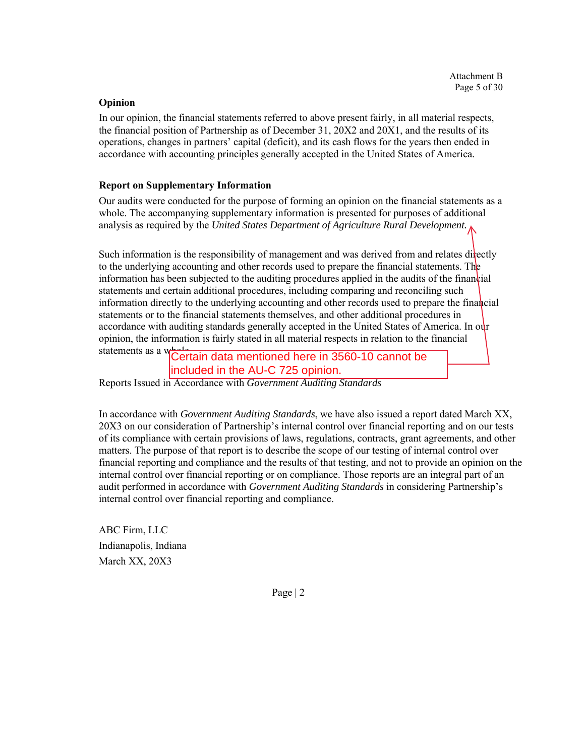### **Opinion**

 the financial position of Partnership as of December 31, 20X2 and 20X1, and the results of its In our opinion, the financial statements referred to above present fairly, in all material respects, operations, changes in partners' capital (deficit), and its cash flows for the years then ended in accordance with accounting principles generally accepted in the United States of America.

### **Report on Supplementary Information**

Our audits were conducted for the purpose of forming an opinion on the financial statements as a whole. The accompanying supplementary information is presented for purposes of additional analysis as required by the *United States Department of Agriculture Rural Development.* 

Such information is the responsibility of management and was derived from and relates directly to the underlying accounting and other records used to prepare the financial statements. The information has been subjected to the auditing procedures applied in the audits of the financial statements and certain additional procedures, including comparing and reconciling such information directly to the underlying accounting and other records used to prepare the financial statements or to the financial statements themselves, and other additional procedures in accordance with auditing standards generally accepted in the United States of America. In our opinion, the information is fairly stated in all material respects in relation to the financial

statements as a w<sub>ork</sub>tain data mentioned here in 3560-10 cannot be included in the AU-C 725 opinion.

Reports Issued in Accordance with *Government Auditing Standards* 

In accordance with *Government Auditing Standards*, we have also issued a report dated March XX, 20X3 on our consideration of Partnership's internal control over financial reporting and on our tests of its compliance with certain provisions of laws, regulations, contracts, grant agreements, and other matters. The purpose of that report is to describe the scope of our testing of internal control over financial reporting and compliance and the results of that testing, and not to provide an opinion on the internal control over financial reporting or on compliance. Those reports are an integral part of an audit performed in accordance with *Government Auditing Standards* in considering Partnership's internal control over financial reporting and compliance.

ABC Firm, LLC Indianapolis, Indiana March XX, 20X3

Page | 2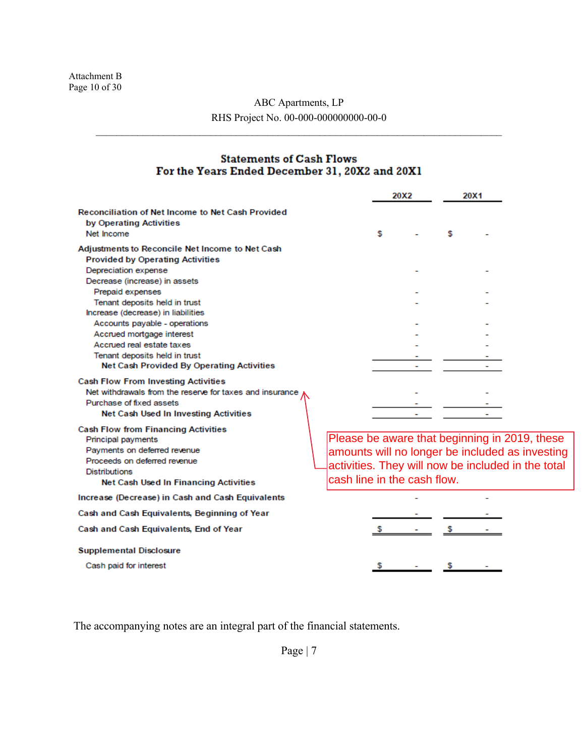# ABC Apartments, LP RHS Project No. 00-000-000000000-00-0

### **Statements of Cash Flows** For the Years Ended December 31, 20X2 and 20X1

|                                                                                                                                                                                                                                                                                                                                                                                                                         |                                                                                                                                                                                       | 20X2 | 20X1 |  |  |
|-------------------------------------------------------------------------------------------------------------------------------------------------------------------------------------------------------------------------------------------------------------------------------------------------------------------------------------------------------------------------------------------------------------------------|---------------------------------------------------------------------------------------------------------------------------------------------------------------------------------------|------|------|--|--|
| Reconciliation of Net Income to Net Cash Provided<br>by Operating Activities<br>Net Income                                                                                                                                                                                                                                                                                                                              |                                                                                                                                                                                       | S    | S    |  |  |
| Adjustments to Reconcile Net Income to Net Cash<br><b>Provided by Operating Activities</b><br>Depreciation expense<br>Decrease (increase) in assets<br>Prepaid expenses<br>Tenant deposits held in trust<br>Increase (decrease) in liabilities<br>Accounts payable - operations<br>Accrued mortgage interest<br>Accrued real estate taxes<br>Tenant deposits held in trust<br>Net Cash Provided By Operating Activities |                                                                                                                                                                                       |      |      |  |  |
| <b>Cash Flow From Investing Activities</b><br>Net withdrawals from the reserve for taxes and insurance,<br>Purchase of fixed assets<br>Net Cash Used In Investing Activities                                                                                                                                                                                                                                            |                                                                                                                                                                                       |      |      |  |  |
| <b>Cash Flow from Financing Activities</b><br>Principal payments<br>Payments on deferred revenue<br>Proceeds on deferred revenue<br><b>Distributions</b><br>Net Cash Used In Financing Activities                                                                                                                                                                                                                       | Please be aware that beginning in 2019, these<br>amounts will no longer be included as investing<br>activities. They will now be included in the total<br>cash line in the cash flow. |      |      |  |  |
| Increase (Decrease) in Cash and Cash Equivalents                                                                                                                                                                                                                                                                                                                                                                        |                                                                                                                                                                                       |      |      |  |  |
| Cash and Cash Equivalents, Beginning of Year                                                                                                                                                                                                                                                                                                                                                                            |                                                                                                                                                                                       |      |      |  |  |
| Cash and Cash Equivalents, End of Year                                                                                                                                                                                                                                                                                                                                                                                  |                                                                                                                                                                                       |      |      |  |  |
| <b>Supplemental Disclosure</b>                                                                                                                                                                                                                                                                                                                                                                                          |                                                                                                                                                                                       |      |      |  |  |
| Cash paid for interest                                                                                                                                                                                                                                                                                                                                                                                                  |                                                                                                                                                                                       |      | - 56 |  |  |

The accompanying notes are an integral part of the financial statements.

Page | 7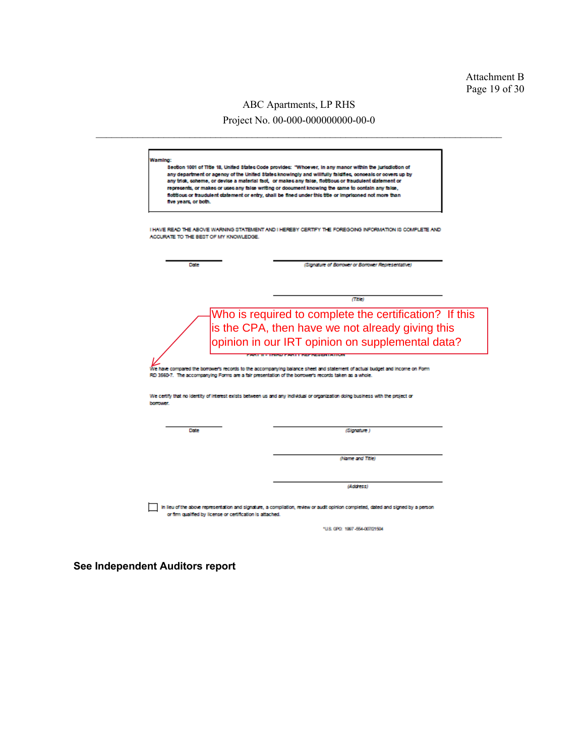Attachment B Page 19 of 30

# ABC Apartments, LP RHS Project No. 00-000-000000000-00-0

|           | five years, or both. |                                       | Section 1001 of Title 18. United States Code provides: "Whoever, In any manor within the jurisdiction of<br>any department or agency of the United States knowingly and willfully faildfles, conceals or covers up by<br>any trick, coheme, or device a material fact, or makes any false, flottbous or fraudulent statement or<br>represents, or makes or uses any false writing or document knowing the same to contain any false.<br>flottbous or fraudulent statement or entry, shall be fined under this title or imprisoned not more than |  |
|-----------|----------------------|---------------------------------------|-------------------------------------------------------------------------------------------------------------------------------------------------------------------------------------------------------------------------------------------------------------------------------------------------------------------------------------------------------------------------------------------------------------------------------------------------------------------------------------------------------------------------------------------------|--|
|           |                      |                                       | I HAVE READ THE ABOVE WARNING STATEMENT AND I HEREBY CERTIFY THE FOREGOING INFORMATION IS COMPLETE AND                                                                                                                                                                                                                                                                                                                                                                                                                                          |  |
|           |                      | ACCURATE TO THE BEST OF MY KNOWLEDGE. |                                                                                                                                                                                                                                                                                                                                                                                                                                                                                                                                                 |  |
|           | Date                 |                                       | (Slandure of Borrower or Borrower Representative)                                                                                                                                                                                                                                                                                                                                                                                                                                                                                               |  |
|           |                      |                                       | <b>CLEAN</b>                                                                                                                                                                                                                                                                                                                                                                                                                                                                                                                                    |  |
|           |                      |                                       |                                                                                                                                                                                                                                                                                                                                                                                                                                                                                                                                                 |  |
|           |                      |                                       | Who is required to complete the certification? If this                                                                                                                                                                                                                                                                                                                                                                                                                                                                                          |  |
|           |                      |                                       | is the CPA, then have we not already giving this                                                                                                                                                                                                                                                                                                                                                                                                                                                                                                |  |
|           |                      |                                       |                                                                                                                                                                                                                                                                                                                                                                                                                                                                                                                                                 |  |
|           |                      |                                       | opinion in our IRT opinion on supplemental data?                                                                                                                                                                                                                                                                                                                                                                                                                                                                                                |  |
|           |                      |                                       | FAAL II - ININU KAALI REFERENIAIRA                                                                                                                                                                                                                                                                                                                                                                                                                                                                                                              |  |
|           |                      |                                       | We have compared the borrower's records to the accompanying balance sheet and statement of actual budget and income on Form                                                                                                                                                                                                                                                                                                                                                                                                                     |  |
|           |                      |                                       | RD 3560-7. The accompanying Forms are a fair presentation of the borrower's records taken as a whole.                                                                                                                                                                                                                                                                                                                                                                                                                                           |  |
|           |                      |                                       | We certify that no identity of interest exists between us and any individual or organization doing business with the project or                                                                                                                                                                                                                                                                                                                                                                                                                 |  |
| borrower. |                      |                                       |                                                                                                                                                                                                                                                                                                                                                                                                                                                                                                                                                 |  |
|           |                      |                                       |                                                                                                                                                                                                                                                                                                                                                                                                                                                                                                                                                 |  |
|           | <b>Date</b>          |                                       | (Slamiture )                                                                                                                                                                                                                                                                                                                                                                                                                                                                                                                                    |  |
|           |                      |                                       |                                                                                                                                                                                                                                                                                                                                                                                                                                                                                                                                                 |  |
|           |                      |                                       | (Name and Title)                                                                                                                                                                                                                                                                                                                                                                                                                                                                                                                                |  |

\*U.S. GPO: 1997-554-007/21504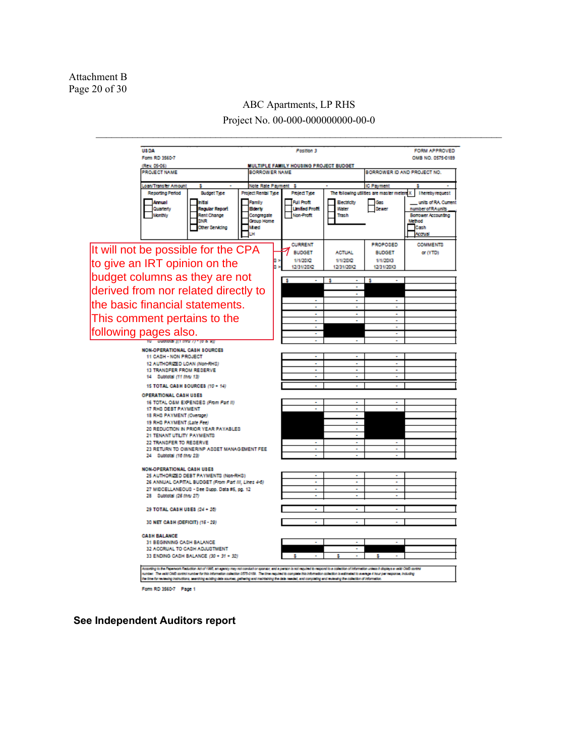# ABC Apartments, LP RHS Project No. 00-000-000000000-00-0

| US DA                                                                                                                                                                                                                                                                                                                                                                                                                                                                                                                                                                                    | Position 3                                                              |                                                                                                                       | FORM APPROVED                                                                                      |
|------------------------------------------------------------------------------------------------------------------------------------------------------------------------------------------------------------------------------------------------------------------------------------------------------------------------------------------------------------------------------------------------------------------------------------------------------------------------------------------------------------------------------------------------------------------------------------------|-------------------------------------------------------------------------|-----------------------------------------------------------------------------------------------------------------------|----------------------------------------------------------------------------------------------------|
| Form RD 3560-7<br>(Rev. 05-06)                                                                                                                                                                                                                                                                                                                                                                                                                                                                                                                                                           | <b>MULTIPLE FAMILY HOUSING PROJECT BUDGET</b>                           |                                                                                                                       | OMB NO. 0575-0189                                                                                  |
| <b>PROJECT NAME</b><br><b>BORROWER NAME</b>                                                                                                                                                                                                                                                                                                                                                                                                                                                                                                                                              |                                                                         | BORROWER ID AND PROJECT NO.                                                                                           |                                                                                                    |
| Note Rate Payment<br>oan/Transfer Amount                                                                                                                                                                                                                                                                                                                                                                                                                                                                                                                                                 |                                                                         | <b>IC Payment</b>                                                                                                     |                                                                                                    |
| <b>Project Rental Type</b><br><b>Reporting Period</b><br><b>Budget Type</b><br>Annual<br>nisi<br>Family<br>Quarterly<br>Regular Report<br><b>Bdarly</b><br>Monthly<br><b>Rent Change</b><br>Congregate<br>SNR<br>Group Home<br>Other Servicing<br>Mied<br>LH                                                                                                                                                                                                                                                                                                                             | Project Type<br><b>Full Front</b><br><b>Limbod Profit</b><br>Non-Profit | The following utilities are master meters X   Thereby request<br><b>Electricity</b><br>Gas<br>Water<br>Sewer<br>Trash | units of RA, Current<br>number of RAunits<br><b>Bonower Accounting</b><br>Mcmod<br>Cash<br>Accrual |
| It will not be possible for the CPA                                                                                                                                                                                                                                                                                                                                                                                                                                                                                                                                                      | <b>CURRENT</b><br><b>BUDGET</b>                                         | <b>PROPOSED</b><br><b>ACTUAL</b><br><b>BUDGET</b>                                                                     | <b>COMMENTS</b><br>or (YTD)                                                                        |
| to give an IRT opinion on the                                                                                                                                                                                                                                                                                                                                                                                                                                                                                                                                                            | 1/1/2002<br>12/31/20X2                                                  | 1/1/2002<br>1/1/2003<br>12/31/20X2<br>12/31/20X3                                                                      |                                                                                                    |
| budget columns as they are not                                                                                                                                                                                                                                                                                                                                                                                                                                                                                                                                                           | $\sqrt{5}$<br>5                                                         | 5<br>٠                                                                                                                |                                                                                                    |
| derived from nor related directly to                                                                                                                                                                                                                                                                                                                                                                                                                                                                                                                                                     |                                                                         | $\mathbf{r}$                                                                                                          |                                                                                                    |
| lthe basic financial statements.                                                                                                                                                                                                                                                                                                                                                                                                                                                                                                                                                         |                                                                         | ٠                                                                                                                     |                                                                                                    |
|                                                                                                                                                                                                                                                                                                                                                                                                                                                                                                                                                                                          | ٠<br>$\ddot{\phantom{0}}$                                               | ٠<br>٠<br>٠<br>٠                                                                                                      |                                                                                                    |
| This comment pertains to the                                                                                                                                                                                                                                                                                                                                                                                                                                                                                                                                                             | ÷                                                                       | ٠                                                                                                                     |                                                                                                    |
| following pages also.                                                                                                                                                                                                                                                                                                                                                                                                                                                                                                                                                                    | ÷                                                                       | ٠                                                                                                                     |                                                                                                    |
| SUCCES (C 1077 // 10 & 3)                                                                                                                                                                                                                                                                                                                                                                                                                                                                                                                                                                | ÷                                                                       | $\tilde{\phantom{a}}$<br>÷                                                                                            |                                                                                                    |
| <b>NON-OPERATIONAL CASH SOURCES</b><br><b>11 CASH - NON PROJECT</b><br>12 AUTHORIZED LOAN (Non-RHS)<br>13 TRANSFER FROM RESERVE<br>Subtotal (11 thru 13)<br>14                                                                                                                                                                                                                                                                                                                                                                                                                           | ×<br>÷.                                                                 | à,<br>÷<br>÷.<br>÷.                                                                                                   |                                                                                                    |
| 15 TOTAL CASH SOURCES (10 + 14)                                                                                                                                                                                                                                                                                                                                                                                                                                                                                                                                                          |                                                                         |                                                                                                                       |                                                                                                    |
| <b>OPERATIONAL CASH USES</b><br>16 TOTAL O&M EXPENSES (From Part II)<br>17 RHS DEBT PAYMENT<br>18 RHS PAYMENT (Overage)<br>19 RHS PAYMENT (Late Fee)<br>20 REDUCTION IN PRIOR YEAR PAYABLES<br>21 TENANT UTILITY PAYMENTS                                                                                                                                                                                                                                                                                                                                                                |                                                                         | ÷<br>÷                                                                                                                |                                                                                                    |
| 22 TRANSFER TO RESERVE<br>23 RETURN TO OWNER/NP ASSET MANAGEMENT FEE                                                                                                                                                                                                                                                                                                                                                                                                                                                                                                                     | $\sim$<br>$\overline{\phantom{a}}$                                      | ۰<br>٠<br>$\ddot{\phantom{0}}$<br>÷                                                                                   |                                                                                                    |
| 24 Subtotal (10 thru 23)                                                                                                                                                                                                                                                                                                                                                                                                                                                                                                                                                                 |                                                                         |                                                                                                                       |                                                                                                    |
| <b>NON-OPERATIONAL CASH USES</b><br>25 AUTHORIZED DEBT PAYMENTS (Non-RHS)<br>26 ANNUAL CAPITAL BUDGET (From Part III, Lines 4-6)<br>27 MISCELLANEOUS - See Supp. Data #5, pp. 12<br>28 Subtotal (26 thru 27)                                                                                                                                                                                                                                                                                                                                                                             | $\sim$<br>٠<br>×                                                        | ٠<br>٠<br>٠<br>٠<br>۰<br>٠                                                                                            |                                                                                                    |
| 29 TOTAL CASH USES (24 + 28)                                                                                                                                                                                                                                                                                                                                                                                                                                                                                                                                                             |                                                                         |                                                                                                                       |                                                                                                    |
| 30 NET CASH (DEFICIT) (16 - 29)                                                                                                                                                                                                                                                                                                                                                                                                                                                                                                                                                          | $\sim$                                                                  | ÷<br>٠                                                                                                                |                                                                                                    |
| <b>CASH BALANCE</b><br>31 BEGINNING CASH BALANCE<br>32 ACCRUAL TO CASH ADJUSTMENT<br>33 ENDING CASH BALANCE (30 + 31 + 32)                                                                                                                                                                                                                                                                                                                                                                                                                                                               | $\overline{\phantom{a}}$                                                | ٠<br>٠<br>٠<br>÷                                                                                                      |                                                                                                    |
| According to the Paperwork Reduction Act of 1995, an agency may not conduct or sponsor, and a person is not required to respond to a collection of information unless it displays a valid CMB control<br>rumber. The weld OMD control number for this information collection 0575-0189. The time required to complete this information collection is extinated to average 4 hour per response, including<br>the time for reviewing instructions, searching existing date sources, gethering and mentalizing to date reacted, and completing and reviewing the collection of information. |                                                                         |                                                                                                                       |                                                                                                    |

Form RD 3560-7 Page 1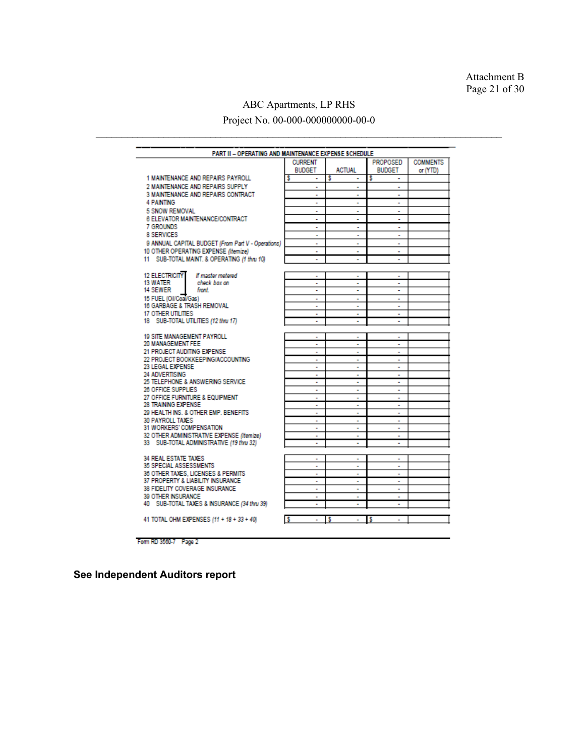# ABC Apartments, LP RHS Project No. 00-000-000000000-00-0

|                                                        | <b>CURRENT</b>       |                               | <b>PROPOSED</b>          | <b>COMMENTS</b> |
|--------------------------------------------------------|----------------------|-------------------------------|--------------------------|-----------------|
|                                                        | <b>BUDGET</b>        | ACTUAL                        | <b>BUDGET</b>            | or (YTD)        |
| 1 MAINTENANCE AND REPAIRS PAYROLL                      | s<br>×,              | s<br>٠                        | s<br>$\overline{a}$      |                 |
| 2 MAINTENANCE AND REPAIRS SUPPLY                       | ٠                    |                               |                          |                 |
| 3 MAINTENANCE AND REPAIRS CONTRACT                     | ÷                    |                               |                          |                 |
| <b>4 PAINTING</b>                                      | ٠                    | $\blacksquare$                | ٠                        |                 |
| 5 SNOW REMOVAL                                         | ä,                   | ٠                             | ٠                        |                 |
| 6 ELEVATOR MAINTENANCE/CONTRACT                        | ÷                    | ٠                             | ٠                        |                 |
| 7 GROUNDS                                              | ÷                    | ٠                             | ٠                        |                 |
| 8 SERVICES                                             | ÷                    | ٠                             | ٠                        |                 |
| 9 ANNUAL CAPITAL BUDGET (From Part V - Operations)     | ÷                    | ٠                             |                          |                 |
| 10 OTHER OPERATING EXPENSE (Itemize)                   | ÷                    | ٠                             | ٠                        |                 |
| 11 SUB-TOTAL MAINT. & OPERATING (1 thru 10)            | ٠                    | ٠                             | $\overline{\phantom{a}}$ |                 |
|                                                        |                      |                               |                          |                 |
| <b>12 ELECTRICITY</b><br>If master metered             | ٠                    | ٠                             | ٠                        |                 |
| check bax on<br><b>13 WATER</b>                        | ٠                    | ۰                             | ۰                        |                 |
| 14 SEWER<br>front.                                     | ٠                    | ٠                             | ٠                        |                 |
| 15 FUEL (Oil/Coal/Gas)                                 | ÷                    | ٠                             | ٠                        |                 |
| 16 GARBAGE & TRASH REMOVAL                             | ٠                    | ٠                             | ٠                        |                 |
| <b>17 OTHER UTILITIES</b>                              | ٠                    | $\ddot{\phantom{1}}$          | ٠                        |                 |
| SUB-TOTAL UTILITIES (12 thru 17)<br>18                 | ٠                    | $\blacksquare$                |                          |                 |
|                                                        |                      |                               |                          |                 |
| 19 SITE MANAGEMENT PAYROLL                             | ٠                    | $\overline{\phantom{a}}$      | $\overline{a}$           |                 |
| 20 MANAGEMENT FEE                                      | ٠                    | ۰                             | ۰                        |                 |
| 21 PROJECT AUDITING EXPENSE                            | ٠                    | ٠                             | ۰                        |                 |
| 22 PROJECT BOOKKEEPING/ACCOUNTING                      | ٠                    | ۰                             | ٠                        |                 |
| 23 LEGAL EXPENSE                                       | ٠                    | ٠                             | ٠                        |                 |
| <b>24 ADVERTISING</b>                                  | ٠                    | ٠                             | ٠                        |                 |
| 25 TELEPHONE & ANSWERING SERVICE                       | ٠                    | ٠                             | ٠                        |                 |
| 26 OFFICE SUPPLIES                                     | ٠                    |                               | ٠                        |                 |
| 27 OFFICE FURNITURE & EQUIPMENT<br>28 TRAINING EXPENSE |                      |                               | ٠                        |                 |
| 29 HEALTH INS. & OTHER EMP. BENEFITS                   | ٠<br>٠               | ۰<br>٠                        | ÷.                       |                 |
| <b>30 PAYROLL TAXES</b>                                |                      |                               |                          |                 |
| 31 WORKERS' COMPENSATION                               | ٠<br>٠               | ÷<br>$\overline{\phantom{a}}$ | ٠<br>٠                   |                 |
| 32 OTHER ADMINISTRATIVE EXPENSE (Itemize)              | ٠                    | ٠                             | ۰                        |                 |
| 33 SUB-TOTAL ADMINISTRATIVE (19 thru 32)               | ٠                    | ٠                             | ٠                        |                 |
|                                                        |                      |                               |                          |                 |
| 34 REAL ESTATE TAXES                                   | ٠                    |                               | ۰                        |                 |
| 35 SPECIAL ASSESSMENTS                                 | ٠                    | ٠                             | ٠                        |                 |
| 36 OTHER TAXES. LICENSES & PERMITS                     | $\ddot{\phantom{0}}$ | ÷                             | $\ddot{\phantom{0}}$     |                 |
| 37 PROPERTY & LIABILITY INSURANCE                      | ×,                   | ۰                             | ٠                        |                 |
| 38 FIDELITY COVERAGE INSURANCE                         | ٠                    | ۰                             | ٠                        |                 |
| 39 OTHER INSURANCE                                     | ٠                    | ٠                             | ٠                        |                 |
| SUB-TOTAL TAXES & INSURANCE (34 thru 39)<br>40         | ٠                    | ۰                             | ٠                        |                 |

Form RD 3560-7 Page 2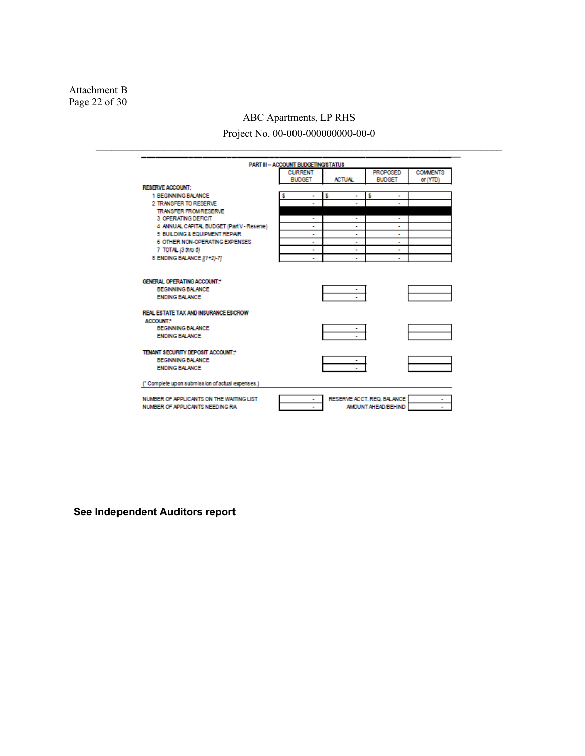# ABC Apartments, LP RHS

 $\mathcal{L}_\mathcal{L} = \{ \mathcal{L}_\mathcal{L} = \{ \mathcal{L}_\mathcal{L} = \{ \mathcal{L}_\mathcal{L} = \{ \mathcal{L}_\mathcal{L} = \{ \mathcal{L}_\mathcal{L} = \{ \mathcal{L}_\mathcal{L} = \{ \mathcal{L}_\mathcal{L} = \{ \mathcal{L}_\mathcal{L} = \{ \mathcal{L}_\mathcal{L} = \{ \mathcal{L}_\mathcal{L} = \{ \mathcal{L}_\mathcal{L} = \{ \mathcal{L}_\mathcal{L} = \{ \mathcal{L}_\mathcal{L} = \{ \mathcal{L}_\mathcal{$ Project No. 00-000-000000000-00-0

|                                                                                  | <b>CURRENT</b><br><b>BUDGET</b> | <b>ACTUAL</b> | <b>PROPOSED</b><br><b>BUDGET</b> | <b>COMMENTS</b><br>or (YTD) |
|----------------------------------------------------------------------------------|---------------------------------|---------------|----------------------------------|-----------------------------|
| <b>RESERVE ACCOUNT:</b>                                                          |                                 |               |                                  |                             |
| 1 BEGINNING BALANCE                                                              | ٠                               | s<br>٠        | s<br>٠                           |                             |
| 2 TRANSFER TO RESERVE                                                            |                                 |               | ٠                                |                             |
| <b>TRANSFER FROM RESERVE</b>                                                     |                                 |               |                                  |                             |
| 3 OPERATING DEFICIT                                                              | ٠                               | ۰             | ۰                                |                             |
| 4 ANNUAL CAPITAL BUDGET (Part V - Reserve)                                       | ٠                               | ٠             | ٠                                |                             |
| 5 BUILDING & EQUIPMENT REPAIR                                                    | ٠                               | ٠             | ٠                                |                             |
| 6 OTHER NON-OPERATING EXPENSES                                                   | ٠                               | ٠             | ٠                                |                             |
| 7 TOTAL (3 thru 0)                                                               | ۰                               | ۰             | ٠                                |                             |
| 8 ENDING BALANCE (11+2)-7]                                                       | ٠                               | ٠             | ۰                                |                             |
| GENERAL OPERATING ACCOUNT.*<br><b>BEGINNING BALANCE</b><br><b>ENDING BALANCE</b> |                                 | ۰             |                                  |                             |
| REAL ESTATE TAX AND INSURANCE ESCROW                                             |                                 |               |                                  |                             |
| ACCOUNT*                                                                         |                                 |               |                                  |                             |
| <b>BEGINNING BALANCE</b>                                                         |                                 | ٠             |                                  |                             |
| <b>ENDING BALANCE</b>                                                            |                                 |               |                                  |                             |
| TENANT SECURITY DEPOSIT ACCOUNT.*                                                |                                 |               |                                  |                             |
| <b>BEGINNING BALANCE</b>                                                         |                                 |               |                                  |                             |
| <b>ENDING BALANCE</b>                                                            |                                 |               |                                  |                             |
| Complete upon submission of actual expenses.)                                    |                                 |               |                                  |                             |
| NUMBER OF APPLICANTS ON THE WAITING LIST                                         |                                 |               | RESERVE ACCT. REQ. BALANCE       | ٠                           |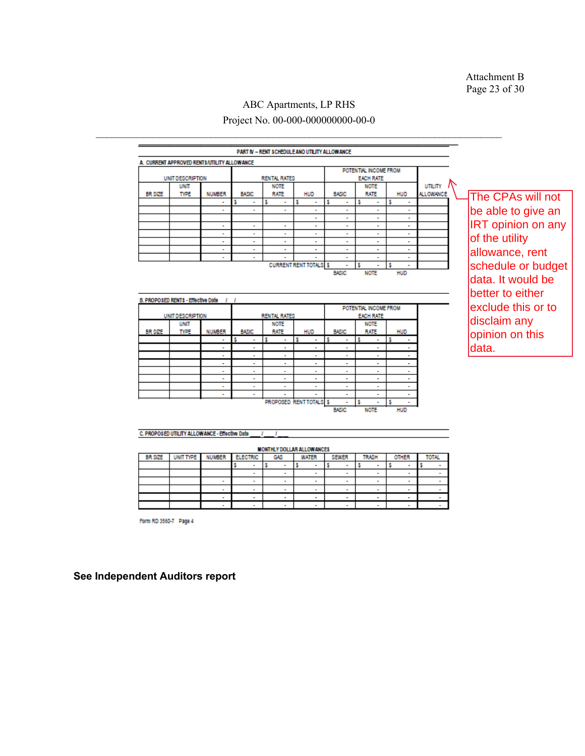Attachment B Page 23 of 30

### ABC Apartments, LP RHS Project No. 00-000-000000000-00-0



|                                  | C. PROPOSED UTILITY ALLOWANCE - Effective Date                                                                       |                          |                |        |           |                |              |                |   |  |
|----------------------------------|----------------------------------------------------------------------------------------------------------------------|--------------------------|----------------|--------|-----------|----------------|--------------|----------------|---|--|
| <b>MONTHLY DOLLAR ALLOWANCES</b> |                                                                                                                      |                          |                |        |           |                |              |                |   |  |
| <b>BR SIZE</b>                   | <b>SEWER</b><br><b>NUMBER</b><br><b>ELECTRIC</b><br><b>OTHER</b><br>GAS<br><b>WATER</b><br><b>TRASH</b><br>UNIT TYPE |                          |                |        |           |                | <b>TOTAL</b> |                |   |  |
|                                  |                                                                                                                      |                          | ٠              |        | $\sim$    | ٠              |              | ٠              |   |  |
|                                  | ۰<br>$\blacksquare$<br>۰<br>۰<br>۰<br>$\sim$<br>$\blacksquare$                                                       |                          |                |        |           |                |              |                |   |  |
|                                  |                                                                                                                      | $\blacksquare$           | $\blacksquare$ | $\sim$ | $\sim$    | ۰              | ۰            | $\blacksquare$ | ۰ |  |
|                                  |                                                                                                                      | $\overline{\phantom{a}}$ | $\sim$         | $\sim$ | $\sim$    | $\blacksquare$ | ۰            | $\blacksquare$ | ٠ |  |
|                                  |                                                                                                                      | $\bullet$                | $\bullet$      | $\sim$ | $\bullet$ | ٠              | ۰            | $\blacksquare$ | ۰ |  |
|                                  |                                                                                                                      |                          |                |        |           |                |              |                |   |  |

Form RD 3560-7 Page 4